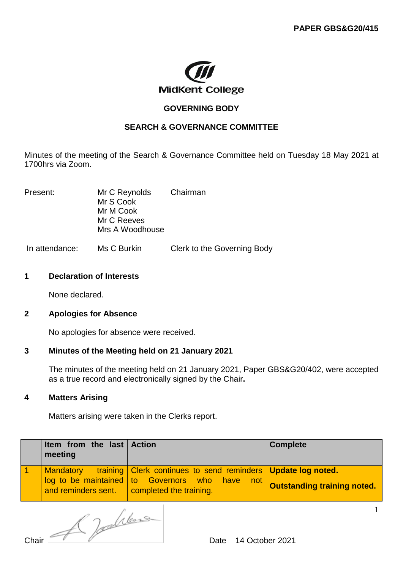

# **GOVERNING BODY**

## **SEARCH & GOVERNANCE COMMITTEE**

Minutes of the meeting of the Search & Governance Committee held on Tuesday 18 May 2021 at 1700hrs via Zoom.

Present: Mr C Reynolds Chairman Mr S Cook Mr M Cook Mr C Reeves Mrs A Woodhouse

In attendance: Ms C Burkin Clerk to the Governing Body

#### **1 Declaration of Interests**

None declared.

## **2 Apologies for Absence**

No apologies for absence were received.

## **3 Minutes of the Meeting held on 21 January 2021**

The minutes of the meeting held on 21 January 2021, Paper GBS&G20/402, were accepted as a true record and electronically signed by the Chair**.** 

#### **4 Matters Arising**

Matters arising were taken in the Clerks report.

| Item from the last Action<br>meeting |                                                                                                                                                                          | <b>Complete</b>             |
|--------------------------------------|--------------------------------------------------------------------------------------------------------------------------------------------------------------------------|-----------------------------|
|                                      | Mandatory training Clerk continues to send reminders Update log noted.<br>log to be maintained to Governors who have not<br>and reminders sent.  completed the training. | Outstanding training noted. |

Chair Chair Chair Chair Chair Chair Chair Chair Chair Chair Chair Chair Chair Chair Chair Chair Chair Chair Ch

1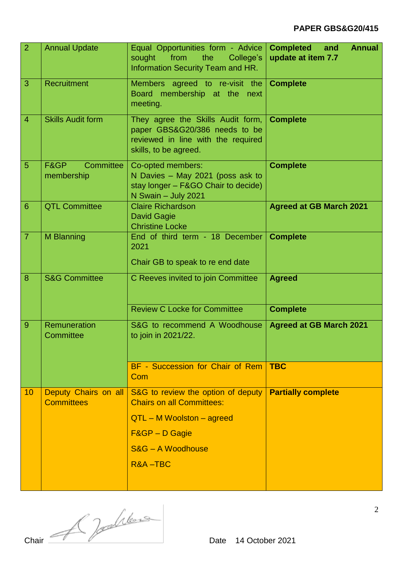# **PAPER GBS&G20/415**

| $\overline{2}$ | <b>Annual Update</b>            | Equal Opportunities form - Advice<br>from<br>sought<br>the<br>College's<br>Information Security Team and HR.                      | <b>Completed</b><br>and<br><b>Annual</b><br>update at item 7.7 |
|----------------|---------------------------------|-----------------------------------------------------------------------------------------------------------------------------------|----------------------------------------------------------------|
| 3              | Recruitment                     | Members agreed to re-visit the<br>Board membership at the next<br>meeting.                                                        | <b>Complete</b>                                                |
| $\overline{4}$ | <b>Skills Audit form</b>        | They agree the Skills Audit form,<br>paper GBS&G20/386 needs to be<br>reviewed in line with the required<br>skills, to be agreed. | <b>Complete</b>                                                |
| 5              | Committee<br>F&GP<br>membership | Co-opted members:<br>N Davies - May 2021 (poss ask to<br>stay longer - F&GO Chair to decide)<br>N Swain - July 2021               | <b>Complete</b>                                                |
| 6              | <b>QTL Committee</b>            | <b>Claire Richardson</b><br><b>David Gagie</b><br><b>Christine Locke</b>                                                          | <b>Agreed at GB March 2021</b>                                 |
| $\overline{7}$ | M Blanning                      | End of third term - 18 December<br>2021<br>Chair GB to speak to re end date                                                       | <b>Complete</b>                                                |
| 8              | <b>S&amp;G Committee</b>        | C Reeves invited to join Committee                                                                                                | <b>Agreed</b>                                                  |
|                |                                 | <b>Review C Locke for Committee</b>                                                                                               | <b>Complete</b>                                                |
| $\overline{9}$ | Remuneration<br>Committee       | S&G to recommend A Woodhouse<br>to join in 2021/22.                                                                               | <b>Agreed at GB March 2021</b>                                 |
|                |                                 | BF - Succession for Chair of Rem<br>Com                                                                                           | <b>TBC</b>                                                     |
| 10             | Deputy Chairs on all            | S&G to review the option of deputy                                                                                                | <b>Partially complete</b>                                      |
|                | <b>Committees</b>               | <b>Chairs on all Committees:</b>                                                                                                  |                                                                |
|                |                                 | $QTL - M$ Woolston $-$ agreed                                                                                                     |                                                                |
|                |                                 | <b>F&amp;GP - D Gagie</b>                                                                                                         |                                                                |
|                |                                 | S&G - A Woodhouse                                                                                                                 |                                                                |
|                |                                 | R&A-TBC                                                                                                                           |                                                                |

Chair  $\mathcal{A}$  dens Date 14 October 2021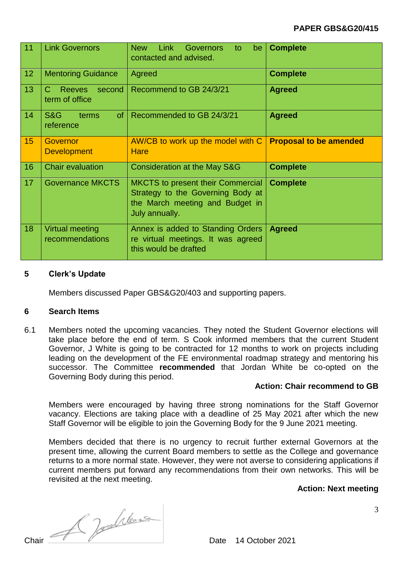# **PAPER GBS&G20/415**

| 11 | <b>Link Governors</b>                                      | <b>Link</b><br><b>New</b><br>Governors<br>be<br>to<br>contacted and advised.                                                       | <b>Complete</b>               |
|----|------------------------------------------------------------|------------------------------------------------------------------------------------------------------------------------------------|-------------------------------|
| 12 | <b>Mentoring Guidance</b>                                  | Agreed                                                                                                                             | <b>Complete</b>               |
| 13 | $\mathcal{C}$<br><b>Reeves</b><br>second<br>term of office | Recommend to GB 24/3/21                                                                                                            | <b>Agreed</b>                 |
| 14 | <b>S&amp;G</b><br>of .<br>terms<br>reference               | Recommended to GB 24/3/21                                                                                                          | <b>Agreed</b>                 |
| 15 | Governor<br><b>Development</b>                             | AW/CB to work up the model with C<br><b>Hare</b>                                                                                   | <b>Proposal to be amended</b> |
| 16 | <b>Chair evaluation</b>                                    | Consideration at the May S&G                                                                                                       | <b>Complete</b>               |
| 17 | <b>Governance MKCTS</b>                                    | <b>MKCTS</b> to present their Commercial<br>Strategy to the Governing Body at<br>the March meeting and Budget in<br>July annually. | <b>Complete</b>               |
| 18 | <b>Virtual meeting</b><br>recommendations                  | Annex is added to Standing Orders<br>re virtual meetings. It was agreed<br>this would be drafted                                   | <b>Agreed</b>                 |

#### **5 Clerk's Update**

Members discussed Paper GBS&G20/403 and supporting papers.

#### **6 Search Items**

6.1 Members noted the upcoming vacancies. They noted the Student Governor elections will take place before the end of term. S Cook informed members that the current Student Governor, J White is going to be contracted for 12 months to work on projects including leading on the development of the FE environmental roadmap strategy and mentoring his successor. The Committee **recommended** that Jordan White be co-opted on the Governing Body during this period.

## **Action: Chair recommend to GB**

Members were encouraged by having three strong nominations for the Staff Governor vacancy. Elections are taking place with a deadline of 25 May 2021 after which the new Staff Governor will be eligible to join the Governing Body for the 9 June 2021 meeting.

Members decided that there is no urgency to recruit further external Governors at the present time, allowing the current Board members to settle as the College and governance returns to a more normal state. However, they were not averse to considering applications if current members put forward any recommendations from their own networks. This will be revisited at the next meeting.

## **Action: Next meeting**

Chair 2021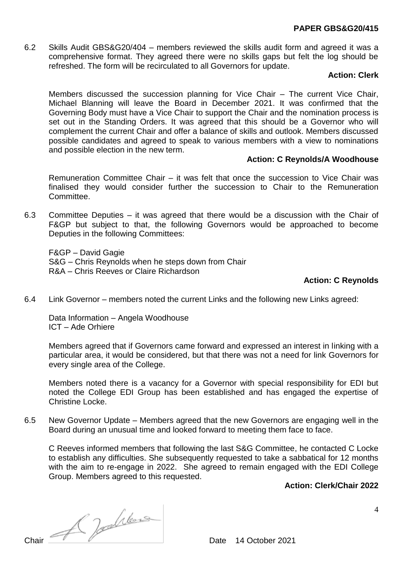#### **PAPER GBS&G20/415**

6.2 Skills Audit GBS&G20/404 – members reviewed the skills audit form and agreed it was a comprehensive format. They agreed there were no skills gaps but felt the log should be refreshed. The form will be recirculated to all Governors for update.

## **Action: Clerk**

Members discussed the succession planning for Vice Chair – The current Vice Chair, Michael Blanning will leave the Board in December 2021. It was confirmed that the Governing Body must have a Vice Chair to support the Chair and the nomination process is set out in the Standing Orders. It was agreed that this should be a Governor who will complement the current Chair and offer a balance of skills and outlook. Members discussed possible candidates and agreed to speak to various members with a view to nominations and possible election in the new term.

## **Action: C Reynolds/A Woodhouse**

Remuneration Committee Chair – it was felt that once the succession to Vice Chair was finalised they would consider further the succession to Chair to the Remuneration Committee.

6.3 Committee Deputies – it was agreed that there would be a discussion with the Chair of F&GP but subject to that, the following Governors would be approached to become Deputies in the following Committees:

F&GP – David Gagie S&G – Chris Reynolds when he steps down from Chair R&A – Chris Reeves or Claire Richardson

# **Action: C Reynolds**

6.4 Link Governor – members noted the current Links and the following new Links agreed:

Data Information – Angela Woodhouse ICT – Ade Orhiere

Members agreed that if Governors came forward and expressed an interest in linking with a particular area, it would be considered, but that there was not a need for link Governors for every single area of the College.

Members noted there is a vacancy for a Governor with special responsibility for EDI but noted the College EDI Group has been established and has engaged the expertise of Christine Locke.

6.5 New Governor Update – Members agreed that the new Governors are engaging well in the Board during an unusual time and looked forward to meeting them face to face.

C Reeves informed members that following the last S&G Committee, he contacted C Locke to establish any difficulties. She subsequently requested to take a sabbatical for 12 months with the aim to re-engage in 2022. She agreed to remain engaged with the EDI College Group. Members agreed to this requested.

# **Action: Clerk/Chair 2022**

Chair Chair Date 14 October 2021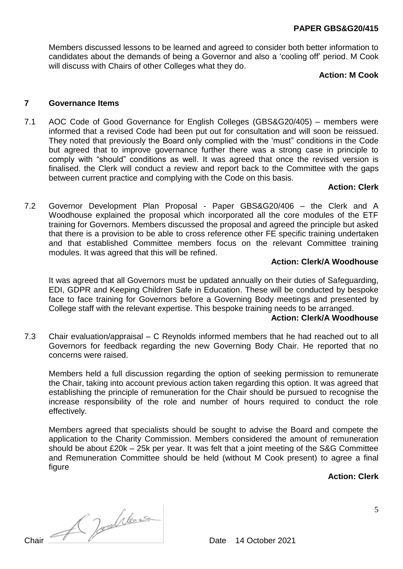Members discussed lessons to be learned and agreed to consider both better information to candidates about the demands of being a Governor and also a 'cooling off' period. M Cook will discuss with Chairs of other Colleges what they do.

## **Action: M Cook**

#### **7 Governance Items**

7.1 AOC Code of Good Governance for English Colleges (GBS&G20/405) – members were informed that a revised Code had been put out for consultation and will soon be reissued. They noted that previously the Board only complied with the 'must" conditions in the Code but agreed that to improve governance further there was a strong case in principle to comply with "should" conditions as well. It was agreed that once the revised version is finalised. the Clerk will conduct a review and report back to the Committee with the gaps between current practice and complying with the Code on this basis.

#### **Action: Clerk**

7.2 Governor Development Plan Proposal - Paper GBS&G20/406 – the Clerk and A Woodhouse explained the proposal which incorporated all the core modules of the ETF training for Governors. Members discussed the proposal and agreed the principle but asked that there is a provision to be able to cross reference other FE specific training undertaken and that established Committee members focus on the relevant Committee training modules. It was agreed that this will be refined.

#### **Action: Clerk/A Woodhouse**

It was agreed that all Governors must be updated annually on their duties of Safeguarding, EDI, GDPR and Keeping Children Safe in Education. These will be conducted by bespoke face to face training for Governors before a Governing Body meetings and presented by College staff with the relevant expertise. This bespoke training needs to be arranged.

#### **Action: Clerk/A Woodhouse**

7.3 Chair evaluation/appraisal – C Reynolds informed members that he had reached out to all Governors for feedback regarding the new Governing Body Chair. He reported that no concerns were raised.

Members held a full discussion regarding the option of seeking permission to remunerate the Chair, taking into account previous action taken regarding this option. It was agreed that establishing the principle of remuneration for the Chair should be pursued to recognise the increase responsibility of the role and number of hours required to conduct the role effectively.

Members agreed that specialists should be sought to advise the Board and compete the application to the Charity Commission. Members considered the amount of remuneration should be about £20k – 25k per year. It was felt that a joint meeting of the S&G Committee and Remuneration Committee should be held (without M Cook present) to agree a final figure

**Action: Clerk**

Chair Chair Date 14 October 2021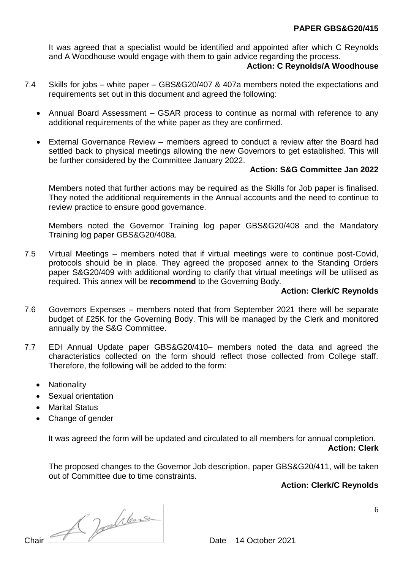It was agreed that a specialist would be identified and appointed after which C Reynolds and A Woodhouse would engage with them to gain advice regarding the process.

# **Action: C Reynolds/A Woodhouse**

- 7.4 Skills for jobs white paper GBS&G20/407 & 407a members noted the expectations and requirements set out in this document and agreed the following:
	- Annual Board Assessment GSAR process to continue as normal with reference to any additional requirements of the white paper as they are confirmed.
	- External Governance Review members agreed to conduct a review after the Board had settled back to physical meetings allowing the new Governors to get established. This will be further considered by the Committee January 2022.

## **Action: S&G Committee Jan 2022**

Members noted that further actions may be required as the Skills for Job paper is finalised. They noted the additional requirements in the Annual accounts and the need to continue to review practice to ensure good governance.

Members noted the Governor Training log paper GBS&G20/408 and the Mandatory Training log paper GBS&G20/408a.

7.5 Virtual Meetings – members noted that if virtual meetings were to continue post-Covid, protocols should be in place. They agreed the proposed annex to the Standing Orders paper S&G20/409 with additional wording to clarify that virtual meetings will be utilised as required. This annex will be **recommend** to the Governing Body.

## **Action: Clerk/C Reynolds**

- 7.6 Governors Expenses members noted that from September 2021 there will be separate budget of £25K for the Governing Body. This will be managed by the Clerk and monitored annually by the S&G Committee.
- 7.7 EDI Annual Update paper GBS&G20/410– members noted the data and agreed the characteristics collected on the form should reflect those collected from College staff. Therefore, the following will be added to the form:
	- Nationality
	- Sexual orientation
	- Marital Status
	- Change of gender

It was agreed the form will be updated and circulated to all members for annual completion. **Action: Clerk**

The proposed changes to the Governor Job description, paper GBS&G20/411, will be taken out of Committee due to time constraints.

# **Action: Clerk/C Reynolds**

Chair Chair Date 14 October 2021